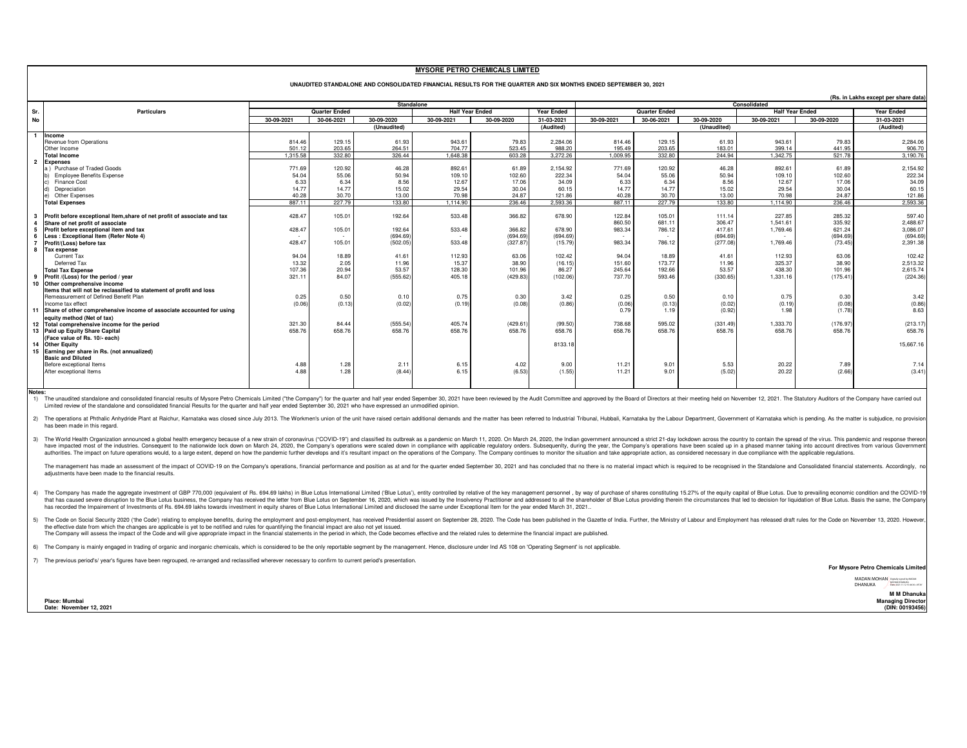## **MYSORE PETRO CHEMICALS LIMITED**

|                | UNAUDITED STANDALONE AND CONSOLIDATED FINANCIAL RESULTS FOR THE QUARTER AND SIX MONTHS ENDED SEPTEMBER 30, 2021 |            |                      |             |                        |            |                                        |            |                      |             |            |            |                   |
|----------------|-----------------------------------------------------------------------------------------------------------------|------------|----------------------|-------------|------------------------|------------|----------------------------------------|------------|----------------------|-------------|------------|------------|-------------------|
|                |                                                                                                                 |            |                      |             |                        |            | (Rs. in Lakhs except per share data)   |            |                      |             |            |            |                   |
|                |                                                                                                                 | Standalone |                      |             |                        |            | Consolidated<br><b>Half Year Ended</b> |            |                      |             |            |            |                   |
| Sr.            | <b>Particulars</b>                                                                                              |            | <b>Quarter Ended</b> |             | <b>Half Year Ended</b> |            | <b>Year Ended</b>                      |            | <b>Quarter Ended</b> |             |            |            | <b>Year Ended</b> |
| No             |                                                                                                                 | 30-09-2021 | 30-06-2021           | 30-09-2020  | 30-09-2021             | 30-09-2020 | 31-03-2021                             | 30-09-2021 | 30-06-2021           | 30-09-2020  | 30-09-2021 | 30-09-2020 | 31-03-2021        |
|                |                                                                                                                 |            |                      | (Unaudited) |                        |            | (Audited)                              |            |                      | (Unaudited) |            |            | (Audited)         |
| $\overline{1}$ | Income                                                                                                          |            |                      |             |                        |            |                                        |            |                      |             |            |            |                   |
|                | Revenue from Operations                                                                                         | 814.46     | 129.15               | 61.93       | 943.61                 | 79.83      | 2.284.06                               | 814.46     | 129.15               | 61.93       | 943.61     | 79.83      | 2.284.06          |
|                | Other Income                                                                                                    | 501.12     | 203.65               | 264.51      | 704.77                 | 523.45     | 988.20                                 | 195.49     | 203.65               | 183.01      | 399.14     | 441.95     | 906.70            |
|                | <b>Total Income</b>                                                                                             | 1.315.58   | 332.80               | 326.44      | 1.648.38               | 603.28     | 3.272.26                               | 1.009.95   | 332.80               | 244.94      | 1.342.75   | 521.78     | 3.190.76          |
|                | <b>Expenses</b>                                                                                                 |            |                      |             |                        |            |                                        |            |                      |             |            |            |                   |
|                | a) Purchase of Traded Goods                                                                                     | 771.69     | 120.92               | 46.28       | 892.61                 | 61.89      | 2.154.92                               | 771.69     | 120.92               | 46.28       | 892.61     | 61.89      | 2.154.92          |
|                | b) Employee Benefits Expense                                                                                    | 54.04      | 55.06                | 50.94       | 109.10                 | 102.60     | 222.34                                 | 54.04      | 55.06                | 50.94       | 109.10     | 102.60     | 222.34            |
|                | c) Finance Cost                                                                                                 | 6.33       | 6.34                 | 8.56        | 12.67                  | 17.06      | 34.09                                  | 6.33       | 6.34                 | 8.56        | 12.67      | 17.06      | 34.09             |
|                | d) Depreciation                                                                                                 | 14.77      | 14.77                | 15.02       | 29.54                  | 30.04      | 60.15                                  | 14.77      | 14.77                | 15.02       | 29.54      | 30.04      | 60.15             |
|                | e) Other Expenses                                                                                               | 40.28      | 30.70                | 13.00       | 70.98                  | 24.87      | 121.86                                 | 40.28      | 30.70                | 13.00       | 70.98      | 24.87      | 121.86            |
|                | <b>Total Expenses</b>                                                                                           | 887.11     | 227.79               | 133,80      | 1.114.90               | 236.46     | 2.593.36                               | 887.11     | 227,79               | 133,80      | 1.114.90   | 236.46     | 2,593.36          |
|                |                                                                                                                 |            |                      |             |                        |            |                                        |            |                      |             |            |            |                   |
|                | Profit before exceptional Item, share of net profit of associate and tax                                        | 428.47     | 105.01               | 192.64      | 533.48                 | 366.82     | 678.90                                 | 122.84     | 105.01               | 111.14      | 227.85     | 285.32     | 597.40            |
|                | Share of net profit of associate                                                                                |            |                      |             |                        |            |                                        | 860.50     | 681.1                | 306.47      | 1.541.61   | 335.92     | 2.488.67          |
|                | Profit before exceptional item and tax                                                                          | 428.47     | 105.01               | 192.64      | 533.48                 | 366.82     | 678.90                                 | 983.34     | 786.12               | 417.61      | 1.769.46   | 621.24     | 3.086.07          |
|                | Less: Exceptional Item (Refer Note 4)                                                                           |            | $\sim$               | (694.69     |                        | (694.69)   | (694.69)                               |            |                      | (694.69)    |            | (694.69)   | (694.69)          |
|                | Profit/(Loss) before tax                                                                                        | 428.47     | 105.01               | (502.05)    | 533.48                 | (327.87)   | (15.79)                                | 983.34     | 786.12               | (277.08)    | 1.769.46   | (73.45)    | 2.391.38          |
| 8              | <b>Tax expense</b>                                                                                              |            |                      |             |                        |            |                                        |            |                      |             |            |            |                   |
|                | Current Tax                                                                                                     | 94.04      | 18.89                | 41.61       | 112.93                 | 63.06      | 102.42                                 | 94.04      | 18.89                | 41.61       | 112.93     | 63.06      | 102.42            |
|                | Deferred Tax                                                                                                    | 13.32      | 2.05                 | 11.96       | 15.37                  | 38.90      | (16.15)                                | 151.60     | 173,77               | 11.96       | 325.37     | 38.90      | 2.513.32          |
|                | <b>Total Tax Expense</b>                                                                                        | 107.36     | 20.94                | 53.57       | 128.30                 | 101.96     | 86.27                                  | 245.64     | 192.66               | 53.57       | 438.30     | 101.96     | 2.615.74          |
|                | Profit /(Loss) for the period / year                                                                            | 321.11     | 84.07                | (555.62)    | 405.18                 | (429.83)   | (102.06)                               | 737.70     | 593.46               | (330.65)    | 1,331.16   | (175.41)   | (224.36)          |
|                | 10 Other comprehensive income                                                                                   |            |                      |             |                        |            |                                        |            |                      |             |            |            |                   |
|                | Items that will not be reclassified to statement of profit and loss                                             |            |                      |             |                        |            |                                        |            |                      |             |            |            |                   |
|                | Remeasurement of Defined Benefit Plan                                                                           | 0.25       | 0.50                 | 0.10        | 0.75                   | 0.30       | 3.42                                   | 0.25       | 0.50                 | 0.10        | 0.75       | 0.30       | 3.42              |
|                | Income tax effect                                                                                               | (0.06)     | (0.13)               | (0.02)      | (0.19)                 | (0.08)     | (0.86)                                 | (0.06)     | (0.13)               | (0.02)      | (0.19)     | (0.08)     | (0.86)            |
|                | 11 Share of other comprehensive income of associate accounted for using                                         |            |                      |             |                        |            |                                        | 0.79       | 1.19                 | (0.92)      | 1.98       | (1.78)     | 8.63              |
|                | equity method (Net of tax)                                                                                      |            |                      |             |                        |            |                                        |            |                      |             |            |            |                   |
|                | 12 Total comprehensive income for the period                                                                    | 321.30     | 84.44                | (555.54)    | 405.74                 | (429.61)   | (99.50)                                | 738.68     | 595.02               | (331.49)    | 1,333.70   | (176.97)   | (213.17)          |
|                | 13 Paid up Equity Share Capital                                                                                 | 658.76     | 658.76               | 658.76      | 658.76                 | 658.76     | 658.76                                 | 658.76     | 658.76               | 658.76      | 658.76     | 658.76     | 658.76            |
|                | (Face value of Rs. 10/- each)                                                                                   |            |                      |             |                        |            |                                        |            |                      |             |            |            |                   |
|                | 14 Other Equity                                                                                                 |            |                      |             |                        |            | 8133.18                                |            |                      |             |            |            | 15,667.16         |
|                | 15 Earning per share in Rs. (not annualized)                                                                    |            |                      |             |                        |            |                                        |            |                      |             |            |            |                   |
|                | <b>Basic and Diluted</b>                                                                                        |            |                      |             |                        |            |                                        |            |                      |             |            |            |                   |
|                | Before exceptional Items                                                                                        | 4.88       | 1.28                 | 2.11        | 6.15                   | 4.02       | 9.00                                   | 11.21      | 9.01                 | 5.53        | 20.22      | 7.89       | 7.14              |
|                | After exceptional Items                                                                                         | 4.88       | 1.28                 | (8.44)      | 6.15                   | (6.53)     | (1.55)                                 | 11.21      | 9.01                 | (5.02)      | 20.22      | (2.66)     | (3.41)            |

**Notes:**

1) The unaudited standalone and consolidated financial results of Mysore Petro Chemicals Limited ("the Company") for the quarter and half year ended Sepember 30, 2021 have been reviewed by the Audit Committee and approved Limited review of the standalone and consolidated financial Results for the quarter and half year ended September 30, 2021 who have expressed an unmodified opinion.

2) The operations at Phthalic Anhydride Plant at Raichur, Karnataka was closed since July 2013. The Workmen's union of the unit have raised certain additional demands and the matter has been referred to Industrial Tribunal has been made in this regard.

3) The World Health Organization announced a global health emergency because of a new strain of coronavirus ("COVID-19") and classified its outbreak as a pandemic on March 11, 2020. On March 24, 2020, the Indian government have impacted most of the industries. Consequent to the nationwide lock down on March 24, 2020, the Company's operations were scaled down in compliance with applicable regulatory orders. Subsequently, during the year, the authorities. The impact on future operations would, to a large extent, depend on how the pandemic further develops and it's resultant impact on the operations of the Company. The Company continues to monitor the situation

The management has made an assessment of the impact of COVID-19 on the Company's operations, financial performance and position as at and for the quarter ended September 30, 2021 and has concluded that no there is no mater adjustments have been made to the financial results.

4) The Company has made the aggregate investment of GBP 770,000 (equivalent of Rs. 694.69 lakhs) in Blue Lotus International Limited ('Blue Lotus'), entity controlled by relative of the key management personnel, by way of that has caused severe disruption to the Blue Lotus business, the Company has received the letter from Blue Lotus on September 16, 2020, which was issued by the Insolvency Practitioner and addressed to all the shareholder has recorded the Impairement of Investments of Rs. 694.69 lakhs towards investment in equity shares of Blue Lotus International Limited and disclosed the same under Exceptional Item for the year ended March 31, 2021..

5) The Ode on Social Security 2020 (the Code) relating to employee benefits, during the employment and post-employment has received Presidential assent on September 28, 2020. The Code has been published in the Gazette of I

The Company will assess the impact of the Code and will give appropriate impact in the financial statements in the period in which, the Code becomes effective and the related rules to determine the financial impact are pub

6) The Company is mainly engaged in trading of organic and inorganic chemicals, which is considered to be the only reportable segment by the management. Hence, disclosure under Ind AS 108 on 'Operating Segment' is not appl

7)The previous period's/ year's figures have been regrouped, re-arranged and reclassified wherever necessary to confirm to current period's presentation.

**For Mysore Petro Chemicals Limit** 

MADAN MOHAN Digitally signed by MADAN<br>DHANUKA <sup>Date:</sup> 2021.11.12 15:46:36 +05'30'

**M M Dhanuk Managing Director (DIN: 00193456)**

**Place: MumbaiDate: November 12, 2021**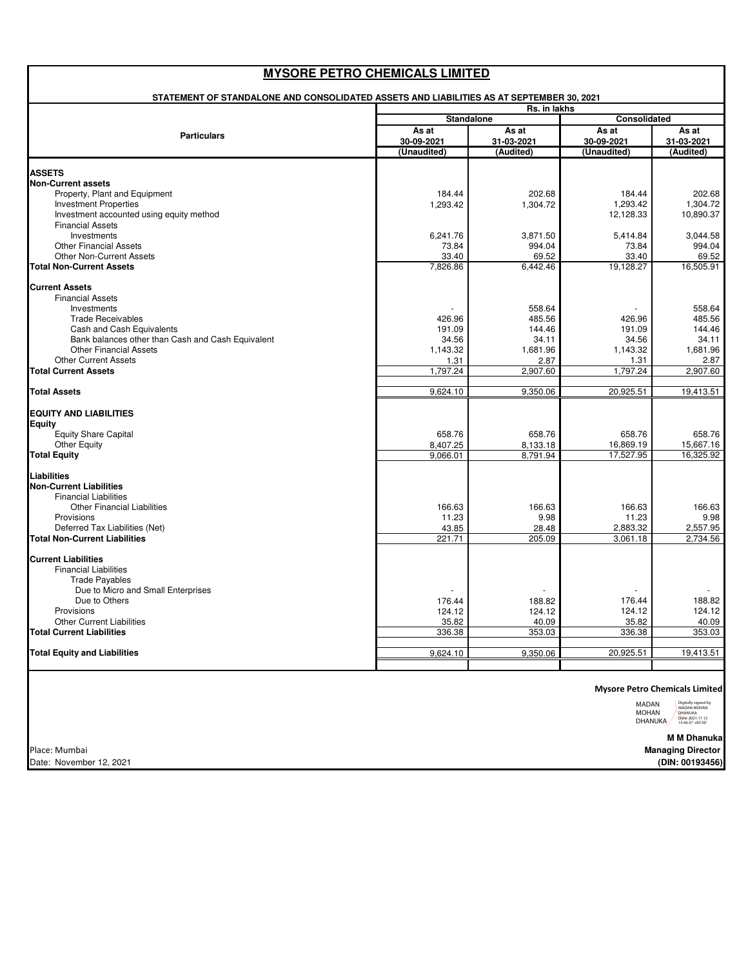| <b>Particulars</b>                                                       | <b>Standalone</b><br>As at<br>30-09-2021 | As at                   | Consolidated          |                       |
|--------------------------------------------------------------------------|------------------------------------------|-------------------------|-----------------------|-----------------------|
|                                                                          |                                          |                         |                       |                       |
|                                                                          |                                          |                         | As at<br>30-09-2021   | As at<br>31-03-2021   |
| <b>ASSETS</b>                                                            | (Unaudited)                              | 31-03-2021<br>(Audited) | (Unaudited)           | (Audited)             |
|                                                                          |                                          |                         |                       |                       |
|                                                                          |                                          |                         |                       |                       |
| <b>Non-Current assets</b>                                                |                                          |                         |                       |                       |
| Property, Plant and Equipment                                            | 184.44                                   | 202.68                  | 184.44                | 202.68                |
| <b>Investment Properties</b><br>Investment accounted using equity method | 1,293.42                                 | 1,304.72                | 1,293.42<br>12,128.33 | 1.304.72<br>10,890.37 |
| <b>Financial Assets</b>                                                  |                                          |                         |                       |                       |
| Investments                                                              | 6,241.76                                 | 3,871.50                | 5,414.84              | 3,044.58              |
| <b>Other Financial Assets</b>                                            | 73.84                                    | 994.04                  | 73.84                 | 994.04                |
| <b>Other Non-Current Assets</b>                                          | 33.40                                    | 69.52                   | 33.40                 | 69.52                 |
| <b>Total Non-Current Assets</b>                                          | 7,826.86                                 | 6,442.46                | 19,128.27             | 16,505.91             |
|                                                                          |                                          |                         |                       |                       |
| <b>Current Assets</b><br><b>Financial Assets</b>                         |                                          |                         |                       |                       |
| Investments                                                              |                                          | 558.64                  |                       | 558.64                |
| <b>Trade Receivables</b>                                                 | 426.96                                   | 485.56                  | 426.96                | 485.56                |
| Cash and Cash Equivalents                                                | 191.09                                   | 144.46                  | 191.09                | 144.46                |
| Bank balances other than Cash and Cash Equivalent                        | 34.56                                    | 34.11                   | 34.56                 | 34.11                 |
| <b>Other Financial Assets</b>                                            | 1,143.32                                 | 1,681.96                | 1,143.32              | 1,681.96              |
| <b>Other Current Assets</b>                                              | 1.31                                     | 2.87                    | 1.31                  | 2.87                  |
| <b>Total Current Assets</b>                                              | 1,797.24                                 | 2,907.60                | 1,797.24              | 2.907.60              |
| <b>Total Assets</b>                                                      | 9,624.10                                 | 9,350.06                | 20,925.51             | 19,413.51             |
| <b>EQUITY AND LIABILITIES</b>                                            |                                          |                         |                       |                       |
| Equity                                                                   |                                          |                         |                       |                       |
| Equity Share Capital                                                     | 658.76                                   | 658.76                  | 658.76                | 658.76                |
| <b>Other Equity</b>                                                      | 8,407.25                                 | 8,133.18                | 16,869.19             | 15,667.16             |
| <b>Total Equity</b>                                                      | 9,066.01                                 | 8,791.94                | 17,527.95             | 16,325.92             |
| Liabilities                                                              |                                          |                         |                       |                       |
| <b>Non-Current Liabilities</b>                                           |                                          |                         |                       |                       |
| <b>Financial Liabilities</b>                                             |                                          |                         |                       |                       |
| <b>Other Financial Liabilities</b>                                       | 166.63                                   | 166.63                  | 166.63                | 166.63                |
| Provisions                                                               | 11.23                                    | 9.98                    | 11.23                 | 9.98                  |
| Deferred Tax Liabilities (Net)<br><b>Total Non-Current Liabilities</b>   | 43.85<br>221.71                          | 28.48<br>205.09         | 2,883.32<br>3,061.18  | 2,557.95<br>2,734.56  |
|                                                                          |                                          |                         |                       |                       |
| <b>Current Liabilities</b>                                               |                                          |                         |                       |                       |
| <b>Financial Liabilities</b>                                             |                                          |                         |                       |                       |
| <b>Trade Payables</b>                                                    |                                          |                         |                       |                       |
| Due to Micro and Small Enterprises                                       |                                          |                         |                       |                       |
| Due to Others                                                            | 176.44                                   | 188.82                  | 176.44                | 188.82                |
| Provisions<br><b>Other Current Liabilities</b>                           | 124.12                                   | 124.12                  | 124.12<br>35.82       | 124.12<br>40.09       |
| <b>Total Current Liabilities</b>                                         | 35.82<br>336.38                          | 40.09<br>353.03         | 336.38                | 353.03                |
|                                                                          |                                          |                         |                       |                       |
| <b>Total Equity and Liabilities</b>                                      | 9,624.10                                 | 9,350.06                | 20,925.51             | 19,413.51             |
|                                                                          |                                          |                         |                       |                       |

Place: Mumbai Date: November 12, 2021 MOHAN<br>DHANUKA MADAN MOHAN DHANUKA Date: 2021.11.12 15:46:57 +05'30'

> **M M Dhanuka (DIN: 00193456) Managing Director**